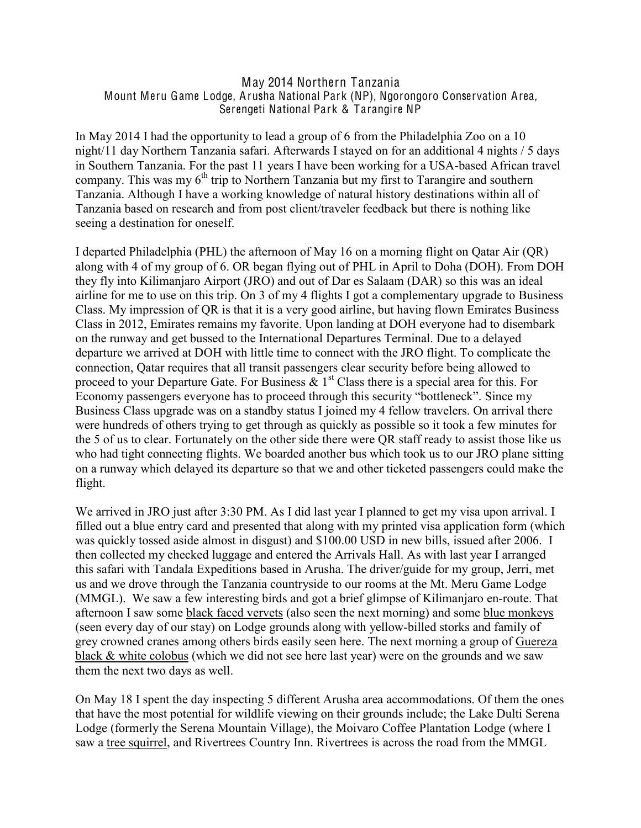## May 2014 Northern Tanzania Mount Meru Game Lodge, Arusha National Park (NP), Ngorongoro Conservation Area, Serengeti National Park & Tarangire NP

In May 2014 I had the opportunity to lead a group of 6 from the Philadelphia Zoo on a 10 night/11 day Northern Tanzania safari. Afterwards I stayed on for an additional 4 nights / 5 days in Southern Tanzania. For the past 11 years I have been working for a USA-based African travel company. This was my  $6<sup>th</sup>$  trip to Northern Tanzania but my first to Tarangire and southern Tanzania. Although I have a working knowledge of natural history destinations within all of Tanzania based on research and from post client/traveler feedback but there is nothing like seeing a destination for oneself.

I departed Philadelphia (PHL) the afternoon of May 16 on a morning flight on Qatar Air (QR) along with 4 of my group of 6. OR began flying out of PHL in April to Doha (DOH). From DOH they fly into Kilimanjaro Airport (JRO) and out of Dar es Salaam (DAR) so this was an ideal airline for me to use on this trip. On 3 of my 4 flights I got a complementary upgrade to Business Class. My impression of QR is that it is a very good airline, but having flown Emirates Business Class in 2012, Emirates remains my favorite. Upon landing at DOH everyone had to disembark on the runway and get bussed to the International Departures Terminal. Due to a delayed departure we arrived at DOH with little time to connect with the JRO flight. To complicate the connection, Qatar requires that all transit passengers clear security before being allowed to proceed to your Departure Gate. For Business  $\& 1<sup>st</sup>$  Class there is a special area for this. For Economy passengers everyone has to proceed through this security "bottleneck". Since my Business Class upgrade was on a standby status I joined my 4 fellow travelers. On arrival there were hundreds of others trying to get through as quickly as possible so it took a few minutes for the 5 of us to clear. Fortunately on the other side there were QR staff ready to assist those like us who had tight connecting flights. We boarded another bus which took us to our JRO plane sitting on a runway which delayed its departure so that we and other ticketed passengers could make the flight.

We arrived in JRO just after 3:30 PM. As I did last year I planned to get my visa upon arrival. I filled out a blue entry card and presented that along with my printed visa application form (which was quickly tossed aside almost in disgust) and \$100.00 USD in new bills, issued after 2006. I then collected my checked luggage and entered the Arrivals Hall. As with last year I arranged this safari with Tandala Expeditions based in Arusha. The driver/guide for my group, Jerri, met us and we drove through the Tanzania countryside to our rooms at the Mt. Meru Game Lodge (MMGL). We saw a few interesting birds and got a brief glimpse of Kilimanjaro en-route. That afternoon I saw some black faced vervets (also seen the next morning) and some blue monkeys (seen every day of our stay) on Lodge grounds along with yellow-billed storks and family of grey crowned cranes among others birds easily seen here. The next morning a group of Guereza black & white colobus (which we did not see here last year) were on the grounds and we saw them the next two days as well.

On May 18 I spent the day inspecting 5 different Arusha area accommodations. Of them the ones that have the most potential for wildlife viewing on their grounds include; the Lake Dulti Serena Lodge (formerly the Serena Mountain Village), the Moivaro Coffee Plantation Lodge (where I saw a tree squirrel, and Rivertrees Country Inn. Rivertrees is across the road from the MMGL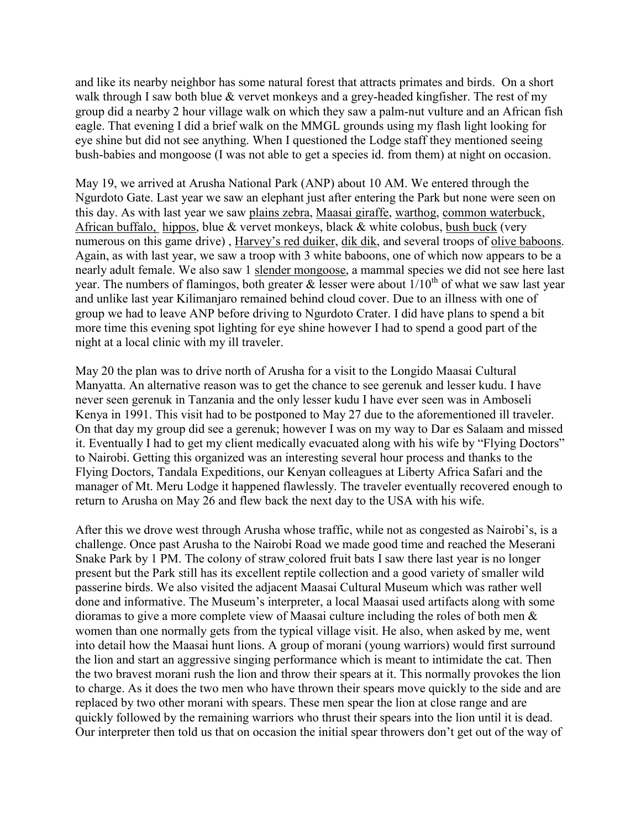and like its nearby neighbor has some natural forest that attracts primates and birds. On a short walk through I saw both blue & vervet monkeys and a grey-headed kingfisher. The rest of my group did a nearby 2 hour village walk on which they saw a palm-nut vulture and an African fish eagle. That evening I did a brief walk on the MMGL grounds using my flash light looking for eye shine but did not see anything. When I questioned the Lodge staff they mentioned seeing bush-babies and mongoose (I was not able to get a species id. from them) at night on occasion.

May 19, we arrived at Arusha National Park (ANP) about 10 AM. We entered through the Ngurdoto Gate. Last year we saw an elephant just after entering the Park but none were seen on this day. As with last year we saw plains zebra, Maasai giraffe, warthog, common waterbuck, African buffalo, hippos, blue & vervet monkeys, black & white colobus, bush buck (very numerous on this game drive), Harvey's red duiker, dik dik, and several troops of olive baboons. Again, as with last year, we saw a troop with 3 white baboons, one of which now appears to be a nearly adult female. We also saw 1 slender mongoose, a mammal species we did not see here last year. The numbers of flamingos, both greater & lesser were about  $1/10^{th}$  of what we saw last year and unlike last year Kilimanjaro remained behind cloud cover. Due to an illness with one of group we had to leave ANP before driving to Ngurdoto Crater. I did have plans to spend a bit more time this evening spot lighting for eye shine however I had to spend a good part of the night at a local clinic with my ill traveler.

May 20 the plan was to drive north of Arusha for a visit to the Longido Maasai Cultural Manyatta. An alternative reason was to get the chance to see gerenuk and lesser kudu. I have never seen gerenuk in Tanzania and the only lesser kudu I have ever seen was in Amboseli Kenya in 1991. This visit had to be postponed to May 27 due to the aforementioned ill traveler. On that day my group did see a gerenuk; however I was on my way to Dar es Salaam and missed it. Eventually I had to get my client medically evacuated along with his wife by "Flying Doctors" to Nairobi. Getting this organized was an interesting several hour process and thanks to the Flying Doctors, Tandala Expeditions, our Kenyan colleagues at Liberty Africa Safari and the manager of Mt. Meru Lodge it happened flawlessly. The traveler eventually recovered enough to return to Arusha on May 26 and flew back the next day to the USA with his wife.

After this we drove west through Arusha whose traffic, while not as congested as Nairobi's, is a challenge. Once past Arusha to the Nairobi Road we made good time and reached the Meserani Snake Park by 1 PM. The colony of straw colored fruit bats I saw there last year is no longer present but the Park still has its excellent reptile collection and a good variety of smaller wild passerine birds. We also visited the adjacent Maasai Cultural Museum which was rather well done and informative. The Museum's interpreter, a local Maasai used artifacts along with some dioramas to give a more complete view of Maasai culture including the roles of both men & women than one normally gets from the typical village visit. He also, when asked by me, went into detail how the Maasai hunt lions. A group of morani (young warriors) would first surround the lion and start an aggressive singing performance which is meant to intimidate the cat. Then the two bravest morani rush the lion and throw their spears at it. This normally provokes the lion to charge. As it does the two men who have thrown their spears move quickly to the side and are replaced by two other morani with spears. These men spear the lion at close range and are quickly followed by the remaining warriors who thrust their spears into the lion until it is dead. Our interpreter then told us that on occasion the initial spear throwers don't get out of the way of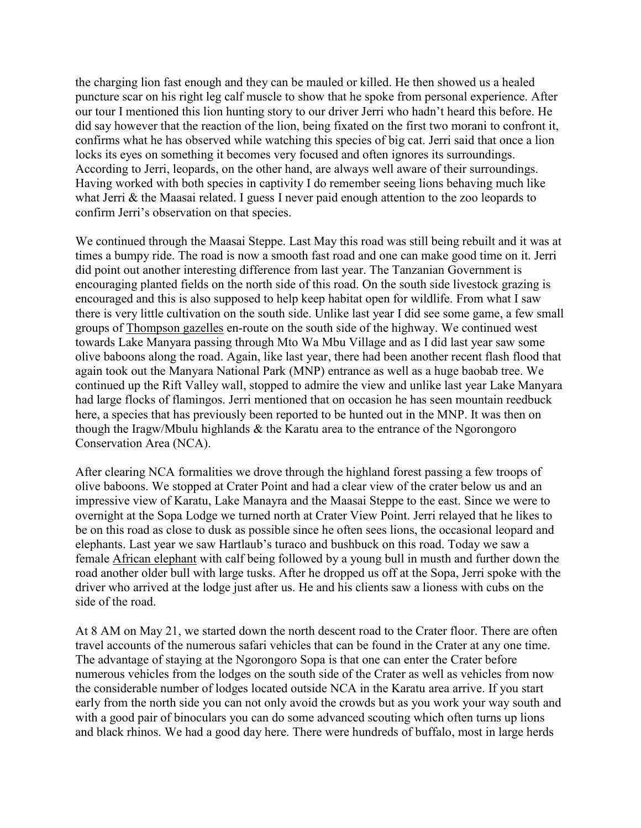the charging lion fast enough and they can be mauled or killed. He then showed us a healed puncture scar on his right leg calf muscle to show that he spoke from personal experience. After our tour I mentioned this lion hunting story to our driver Jerri who hadn't heard this before. He did say however that the reaction of the lion, being fixated on the first two morani to confront it, confirms what he has observed while watching this species of big cat. Jerri said that once a lion locks its eyes on something it becomes very focused and often ignores its surroundings. According to Jerri, leopards, on the other hand, are always well aware of their surroundings. Having worked with both species in captivity I do remember seeing lions behaving much like what Jerri & the Maasai related. I guess I never paid enough attention to the zoo leopards to confirm Jerri's observation on that species.

We continued through the Maasai Steppe. Last May this road was still being rebuilt and it was at times a bumpy ride. The road is now a smooth fast road and one can make good time on it. Jerri did point out another interesting difference from last year. The Tanzanian Government is encouraging planted fields on the north side of this road. On the south side livestock grazing is encouraged and this is also supposed to help keep habitat open for wildlife. From what I saw there is very little cultivation on the south side. Unlike last year I did see some game, a few small groups of Thompson gazelles en-route on the south side of the highway. We continued west towards Lake Manyara passing through Mto Wa Mbu Village and as I did last year saw some olive baboons along the road. Again, like last year, there had been another recent flash flood that again took out the Manyara National Park (MNP) entrance as well as a huge baobab tree. We continued up the Rift Valley wall, stopped to admire the view and unlike last year Lake Manyara had large flocks of flamingos. Jerri mentioned that on occasion he has seen mountain reedbuck here, a species that has previously been reported to be hunted out in the MNP. It was then on though the Iragw/Mbulu highlands & the Karatu area to the entrance of the Ngorongoro Conservation Area (NCA).

After clearing NCA formalities we drove through the highland forest passing a few troops of olive baboons. We stopped at Crater Point and had a clear view of the crater below us and an impressive view of Karatu, Lake Manayra and the Maasai Steppe to the east. Since we were to overnight at the Sopa Lodge we turned north at Crater View Point. Jerri relayed that he likes to be on this road as close to dusk as possible since he often sees lions, the occasional leopard and elephants. Last year we saw Hartlaub's turaco and bushbuck on this road. Today we saw a female African elephant with calf being followed by a young bull in musth and further down the road another older bull with large tusks. After he dropped us off at the Sopa, Jerri spoke with the driver who arrived at the lodge just after us. He and his clients saw a lioness with cubs on the side of the road.

At 8 AM on May 21, we started down the north descent road to the Crater floor. There are often travel accounts of the numerous safari vehicles that can be found in the Crater at any one time. The advantage of staying at the Ngorongoro Sopa is that one can enter the Crater before numerous vehicles from the lodges on the south side of the Crater as well as vehicles from now the considerable number of lodges located outside NCA in the Karatu area arrive. If you start early from the north side you can not only avoid the crowds but as you work your way south and with a good pair of binoculars you can do some advanced scouting which often turns up lions and black rhinos. We had a good day here. There were hundreds of buffalo, most in large herds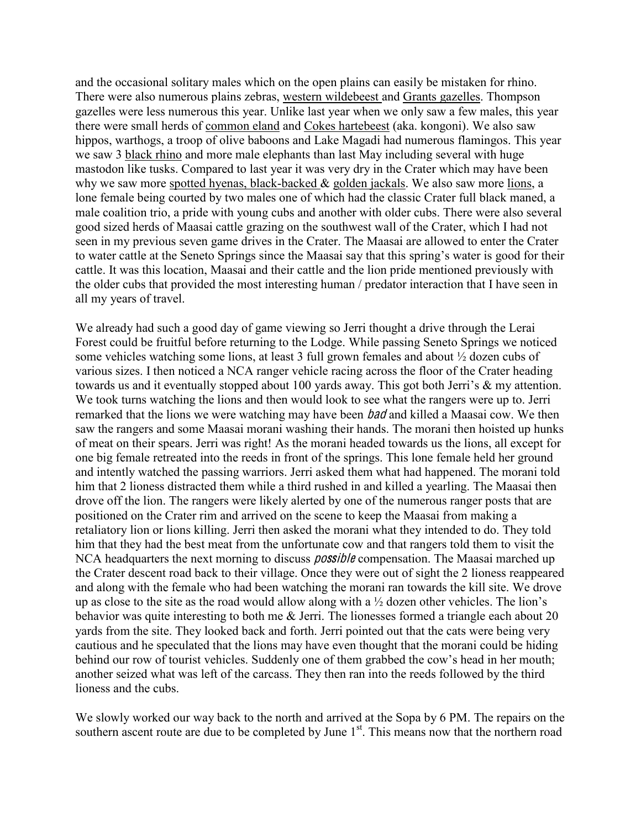and the occasional solitary males which on the open plains can easily be mistaken for rhino. There were also numerous plains zebras, western wildebeest and Grants gazelles. Thompson gazelles were less numerous this year. Unlike last year when we only saw a few males, this year there were small herds of common eland and Cokes hartebeest (aka. kongoni). We also saw hippos, warthogs, a troop of olive baboons and Lake Magadi had numerous flamingos. This year we saw 3 black rhino and more male elephants than last May including several with huge mastodon like tusks. Compared to last year it was very dry in the Crater which may have been why we saw more spotted hyenas, black-backed & golden jackals. We also saw more lions, a lone female being courted by two males one of which had the classic Crater full black maned, a male coalition trio, a pride with young cubs and another with older cubs. There were also several good sized herds of Maasai cattle grazing on the southwest wall of the Crater, which I had not seen in my previous seven game drives in the Crater. The Maasai are allowed to enter the Crater to water cattle at the Seneto Springs since the Maasai say that this spring's water is good for their cattle. It was this location, Maasai and their cattle and the lion pride mentioned previously with the older cubs that provided the most interesting human / predator interaction that I have seen in all my years of travel.

We already had such a good day of game viewing so Jerri thought a drive through the Lerai Forest could be fruitful before returning to the Lodge. While passing Seneto Springs we noticed some vehicles watching some lions, at least 3 full grown females and about ½ dozen cubs of various sizes. I then noticed a NCA ranger vehicle racing across the floor of the Crater heading towards us and it eventually stopped about 100 yards away. This got both Jerri's  $\&$  my attention. We took turns watching the lions and then would look to see what the rangers were up to. Jerri remarked that the lions we were watching may have been *bad* and killed a Maasai cow. We then saw the rangers and some Maasai morani washing their hands. The morani then hoisted up hunks of meat on their spears. Jerri was right! As the morani headed towards us the lions, all except for one big female retreated into the reeds in front of the springs. This lone female held her ground and intently watched the passing warriors. Jerri asked them what had happened. The morani told him that 2 lioness distracted them while a third rushed in and killed a yearling. The Maasai then drove off the lion. The rangers were likely alerted by one of the numerous ranger posts that are positioned on the Crater rim and arrived on the scene to keep the Maasai from making a retaliatory lion or lions killing. Jerri then asked the morani what they intended to do. They told him that they had the best meat from the unfortunate cow and that rangers told them to visit the NCA headquarters the next morning to discuss *possible* compensation. The Maasai marched up the Crater descent road back to their village. Once they were out of sight the 2 lioness reappeared and along with the female who had been watching the morani ran towards the kill site. We drove up as close to the site as the road would allow along with a  $\frac{1}{2}$  dozen other vehicles. The lion's behavior was quite interesting to both me & Jerri. The lionesses formed a triangle each about 20 yards from the site. They looked back and forth. Jerri pointed out that the cats were being very cautious and he speculated that the lions may have even thought that the morani could be hiding behind our row of tourist vehicles. Suddenly one of them grabbed the cow's head in her mouth; another seized what was left of the carcass. They then ran into the reeds followed by the third lioness and the cubs.

We slowly worked our way back to the north and arrived at the Sopa by 6 PM. The repairs on the southern ascent route are due to be completed by June  $1<sup>st</sup>$ . This means now that the northern road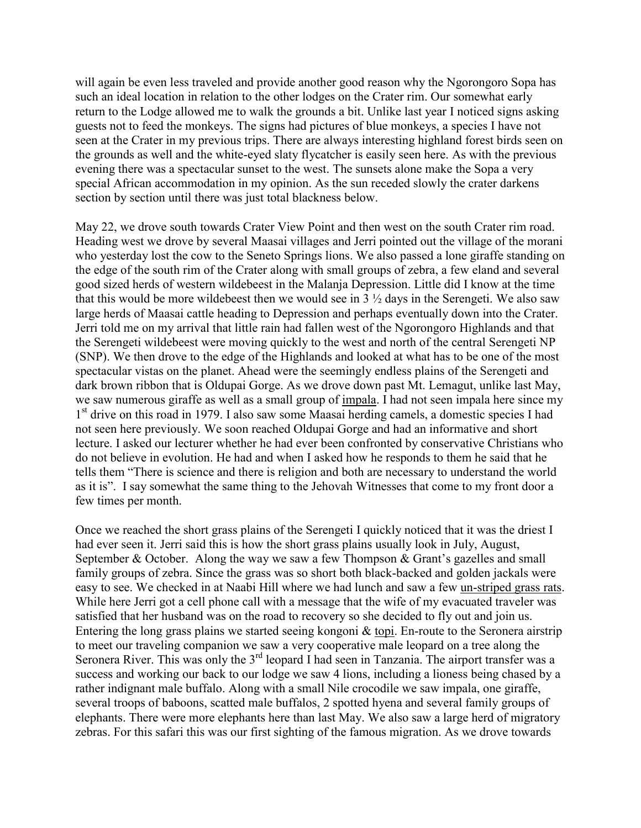will again be even less traveled and provide another good reason why the Ngorongoro Sopa has such an ideal location in relation to the other lodges on the Crater rim. Our somewhat early return to the Lodge allowed me to walk the grounds a bit. Unlike last year I noticed signs asking guests not to feed the monkeys. The signs had pictures of blue monkeys, a species I have not seen at the Crater in my previous trips. There are always interesting highland forest birds seen on the grounds as well and the white-eyed slaty flycatcher is easily seen here. As with the previous evening there was a spectacular sunset to the west. The sunsets alone make the Sopa a very special African accommodation in my opinion. As the sun receded slowly the crater darkens section by section until there was just total blackness below.

May 22, we drove south towards Crater View Point and then west on the south Crater rim road. Heading west we drove by several Maasai villages and Jerri pointed out the village of the morani who yesterday lost the cow to the Seneto Springs lions. We also passed a lone giraffe standing on the edge of the south rim of the Crater along with small groups of zebra, a few eland and several good sized herds of western wildebeest in the Malanja Depression. Little did I know at the time that this would be more wildebeest then we would see in  $3\frac{1}{2}$  days in the Serengeti. We also saw large herds of Maasai cattle heading to Depression and perhaps eventually down into the Crater. Jerri told me on my arrival that little rain had fallen west of the Ngorongoro Highlands and that the Serengeti wildebeest were moving quickly to the west and north of the central Serengeti NP (SNP). We then drove to the edge of the Highlands and looked at what has to be one of the most spectacular vistas on the planet. Ahead were the seemingly endless plains of the Serengeti and dark brown ribbon that is Oldupai Gorge. As we drove down past Mt. Lemagut, unlike last May, we saw numerous giraffe as well as a small group of impala. I had not seen impala here since my 1<sup>st</sup> drive on this road in 1979. I also saw some Maasai herding camels, a domestic species I had not seen here previously. We soon reached Oldupai Gorge and had an informative and short lecture. I asked our lecturer whether he had ever been confronted by conservative Christians who do not believe in evolution. He had and when I asked how he responds to them he said that he tells them "There is science and there is religion and both are necessary to understand the world as it is". I say somewhat the same thing to the Jehovah Witnesses that come to my front door a few times per month.

Once we reached the short grass plains of the Serengeti I quickly noticed that it was the driest I had ever seen it. Jerri said this is how the short grass plains usually look in July, August, September & October. Along the way we saw a few Thompson & Grant's gazelles and small family groups of zebra. Since the grass was so short both black-backed and golden jackals were easy to see. We checked in at Naabi Hill where we had lunch and saw a few un-striped grass rats. While here Jerri got a cell phone call with a message that the wife of my evacuated traveler was satisfied that her husband was on the road to recovery so she decided to fly out and join us. Entering the long grass plains we started seeing kongoni & topi. En-route to the Seronera airstrip to meet our traveling companion we saw a very cooperative male leopard on a tree along the Seronera River. This was only the  $3<sup>rd</sup>$  leopard I had seen in Tanzania. The airport transfer was a success and working our back to our lodge we saw 4 lions, including a lioness being chased by a rather indignant male buffalo. Along with a small Nile crocodile we saw impala, one giraffe, several troops of baboons, scatted male buffalos, 2 spotted hyena and several family groups of elephants. There were more elephants here than last May. We also saw a large herd of migratory zebras. For this safari this was our first sighting of the famous migration. As we drove towards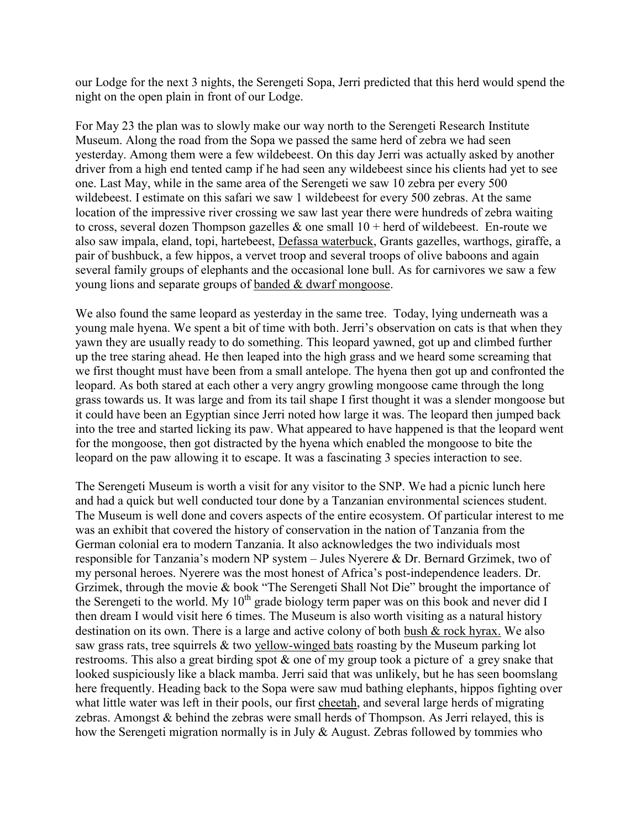our Lodge for the next 3 nights, the Serengeti Sopa, Jerri predicted that this herd would spend the night on the open plain in front of our Lodge.

For May 23 the plan was to slowly make our way north to the Serengeti Research Institute Museum. Along the road from the Sopa we passed the same herd of zebra we had seen yesterday. Among them were a few wildebeest. On this day Jerri was actually asked by another driver from a high end tented camp if he had seen any wildebeest since his clients had yet to see one. Last May, while in the same area of the Serengeti we saw 10 zebra per every 500 wildebeest. I estimate on this safari we saw 1 wildebeest for every 500 zebras. At the same location of the impressive river crossing we saw last year there were hundreds of zebra waiting to cross, several dozen Thompson gazelles  $\&$  one small  $10 +$  herd of wildebeest. En-route we also saw impala, eland, topi, hartebeest, Defassa waterbuck, Grants gazelles, warthogs, giraffe, a pair of bushbuck, a few hippos, a vervet troop and several troops of olive baboons and again several family groups of elephants and the occasional lone bull. As for carnivores we saw a few young lions and separate groups of banded & dwarf mongoose.

We also found the same leopard as yesterday in the same tree. Today, lying underneath was a young male hyena. We spent a bit of time with both. Jerri's observation on cats is that when they yawn they are usually ready to do something. This leopard yawned, got up and climbed further up the tree staring ahead. He then leaped into the high grass and we heard some screaming that we first thought must have been from a small antelope. The hyena then got up and confronted the leopard. As both stared at each other a very angry growling mongoose came through the long grass towards us. It was large and from its tail shape I first thought it was a slender mongoose but it could have been an Egyptian since Jerri noted how large it was. The leopard then jumped back into the tree and started licking its paw. What appeared to have happened is that the leopard went for the mongoose, then got distracted by the hyena which enabled the mongoose to bite the leopard on the paw allowing it to escape. It was a fascinating 3 species interaction to see.

The Serengeti Museum is worth a visit for any visitor to the SNP. We had a picnic lunch here and had a quick but well conducted tour done by a Tanzanian environmental sciences student. The Museum is well done and covers aspects of the entire ecosystem. Of particular interest to me was an exhibit that covered the history of conservation in the nation of Tanzania from the German colonial era to modern Tanzania. It also acknowledges the two individuals most responsible for Tanzania's modern NP system  $-$  Jules Nyerere & Dr. Bernard Grzimek, two of my personal heroes. Nyerere was the most honest of Africa's post-independence leaders. Dr. Grzimek, through the movie  $\&$  book "The Serengeti Shall Not Die" brought the importance of the Serengeti to the world. My  $10^{th}$  grade biology term paper was on this book and never did I then dream I would visit here 6 times. The Museum is also worth visiting as a natural history destination on its own. There is a large and active colony of both bush & rock hyrax. We also saw grass rats, tree squirrels & two yellow-winged bats roasting by the Museum parking lot restrooms. This also a great birding spot & one of my group took a picture of a grey snake that looked suspiciously like a black mamba. Jerri said that was unlikely, but he has seen boomslang here frequently. Heading back to the Sopa were saw mud bathing elephants, hippos fighting over what little water was left in their pools, our first cheetah, and several large herds of migrating zebras. Amongst & behind the zebras were small herds of Thompson. As Jerri relayed, this is how the Serengeti migration normally is in July & August. Zebras followed by tommies who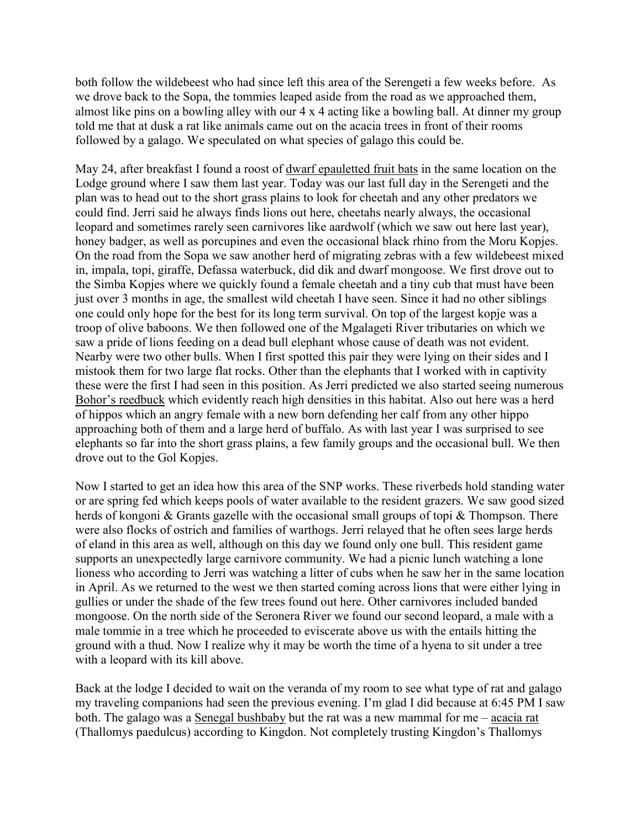both follow the wildebeest who had since left this area of the Serengeti a few weeks before. As we drove back to the Sopa, the tommies leaped aside from the road as we approached them, almost like pins on a bowling alley with our 4 x 4 acting like a bowling ball. At dinner my group told me that at dusk a rat like animals came out on the acacia trees in front of their rooms followed by a galago. We speculated on what species of galago this could be.

May 24, after breakfast I found a roost of dwarf epauletted fruit bats in the same location on the Lodge ground where I saw them last year. Today was our last full day in the Serengeti and the plan was to head out to the short grass plains to look for cheetah and any other predators we could find. Jerri said he always finds lions out here, cheetahs nearly always, the occasional leopard and sometimes rarely seen carnivores like aardwolf (which we saw out here last year), honey badger, as well as porcupines and even the occasional black rhino from the Moru Kopjes. On the road from the Sopa we saw another herd of migrating zebras with a few wildebeest mixed in, impala, topi, giraffe, Defassa waterbuck, did dik and dwarf mongoose. We first drove out to the Simba Kopjes where we quickly found a female cheetah and a tiny cub that must have been just over 3 months in age, the smallest wild cheetah I have seen. Since it had no other siblings one could only hope for the best for its long term survival. On top of the largest kopje was a troop of olive baboons. We then followed one of the Mgalageti River tributaries on which we saw a pride of lions feeding on a dead bull elephant whose cause of death was not evident. Nearby were two other bulls. When I first spotted this pair they were lying on their sides and I mistook them for two large flat rocks. Other than the elephants that I worked with in captivity these were the first I had seen in this position. As Jerri predicted we also started seeing numerous Bohor's reedbuck which evidently reach high densities in this habitat. Also out here was a herd of hippos which an angry female with a new born defending her calf from any other hippo approaching both of them and a large herd of buffalo. As with last year I was surprised to see elephants so far into the short grass plains, a few family groups and the occasional bull. We then drove out to the Gol Kopjes.

Now I started to get an idea how this area of the SNP works. These riverbeds hold standing water or are spring fed which keeps pools of water available to the resident grazers. We saw good sized herds of kongoni & Grants gazelle with the occasional small groups of topi & Thompson. There were also flocks of ostrich and families of warthogs. Jerri relayed that he often sees large herds of eland in this area as well, although on this day we found only one bull. This resident game supports an unexpectedly large carnivore community. We had a picnic lunch watching a lone lioness who according to Jerri was watching a litter of cubs when he saw her in the same location in April. As we returned to the west we then started coming across lions that were either lying in gullies or under the shade of the few trees found out here. Other carnivores included banded mongoose. On the north side of the Seronera River we found our second leopard, a male with a male tommie in a tree which he proceeded to eviscerate above us with the entails hitting the ground with a thud. Now I realize why it may be worth the time of a hyena to sit under a tree with a leopard with its kill above.

Back at the lodge I decided to wait on the veranda of my room to see what type of rat and galago my traveling companions had seen the previous evening. I'm glad I did because at 6:45 PM I saw both. The galago was a Senegal bushbaby but the rat was a new mammal for me  $-$  acacia rat (Thallomys paedulcus) according to Kingdon. Not completely trusting Kingdon's Thallomys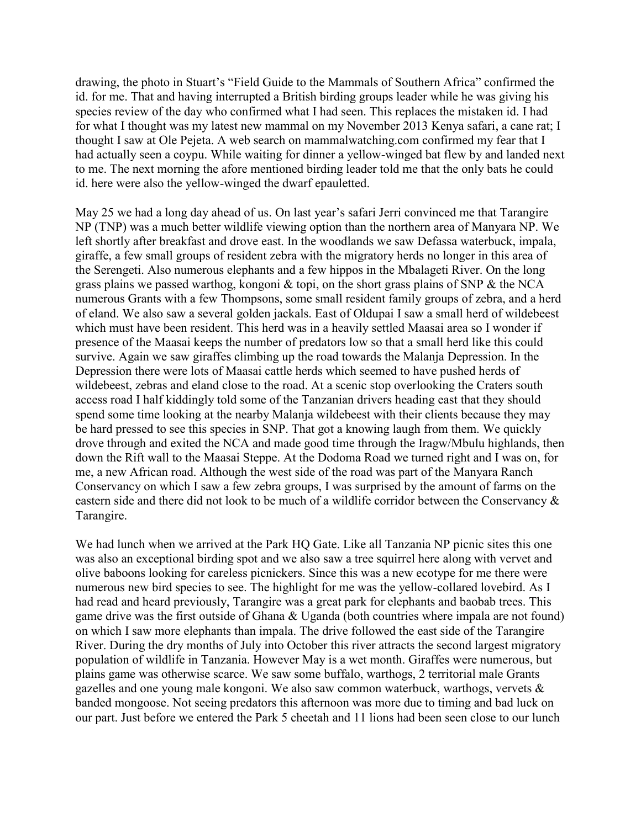drawing, the photo in Stuart's "Field Guide to the Mammals of Southern Africa" confirmed the id. for me. That and having interrupted a British birding groups leader while he was giving his species review of the day who confirmed what I had seen. This replaces the mistaken id. I had for what I thought was my latest new mammal on my November 2013 Kenya safari, a cane rat; I thought I saw at Ole Pejeta. A web search on mammalwatching.com confirmed my fear that I had actually seen a coypu. While waiting for dinner a yellow-winged bat flew by and landed next to me. The next morning the afore mentioned birding leader told me that the only bats he could id. here were also the yellow-winged the dwarf epauletted.

May 25 we had a long day ahead of us. On last year's safari Jerri convinced me that Tarangire NP (TNP) was a much better wildlife viewing option than the northern area of Manyara NP. We left shortly after breakfast and drove east. In the woodlands we saw Defassa waterbuck, impala, giraffe, a few small groups of resident zebra with the migratory herds no longer in this area of the Serengeti. Also numerous elephants and a few hippos in the Mbalageti River. On the long grass plains we passed warthog, kongoni  $\&$  topi, on the short grass plains of SNP  $\&$  the NCA numerous Grants with a few Thompsons, some small resident family groups of zebra, and a herd of eland. We also saw a several golden jackals. East of Oldupai I saw a small herd of wildebeest which must have been resident. This herd was in a heavily settled Maasai area so I wonder if presence of the Maasai keeps the number of predators low so that a small herd like this could survive. Again we saw giraffes climbing up the road towards the Malanja Depression. In the Depression there were lots of Maasai cattle herds which seemed to have pushed herds of wildebeest, zebras and eland close to the road. At a scenic stop overlooking the Craters south access road I half kiddingly told some of the Tanzanian drivers heading east that they should spend some time looking at the nearby Malanja wildebeest with their clients because they may be hard pressed to see this species in SNP. That got a knowing laugh from them. We quickly drove through and exited the NCA and made good time through the Iragw/Mbulu highlands, then down the Rift wall to the Maasai Steppe. At the Dodoma Road we turned right and I was on, for me, a new African road. Although the west side of the road was part of the Manyara Ranch Conservancy on which I saw a few zebra groups, I was surprised by the amount of farms on the eastern side and there did not look to be much of a wildlife corridor between the Conservancy & Tarangire.

We had lunch when we arrived at the Park HQ Gate. Like all Tanzania NP picnic sites this one was also an exceptional birding spot and we also saw a tree squirrel here along with vervet and olive baboons looking for careless picnickers. Since this was a new ecotype for me there were numerous new bird species to see. The highlight for me was the yellow-collared lovebird. As I had read and heard previously, Tarangire was a great park for elephants and baobab trees. This game drive was the first outside of Ghana & Uganda (both countries where impala are not found) on which I saw more elephants than impala. The drive followed the east side of the Tarangire River. During the dry months of July into October this river attracts the second largest migratory population of wildlife in Tanzania. However May is a wet month. Giraffes were numerous, but plains game was otherwise scarce. We saw some buffalo, warthogs, 2 territorial male Grants gazelles and one young male kongoni. We also saw common waterbuck, warthogs, vervets & banded mongoose. Not seeing predators this afternoon was more due to timing and bad luck on our part. Just before we entered the Park 5 cheetah and 11 lions had been seen close to our lunch